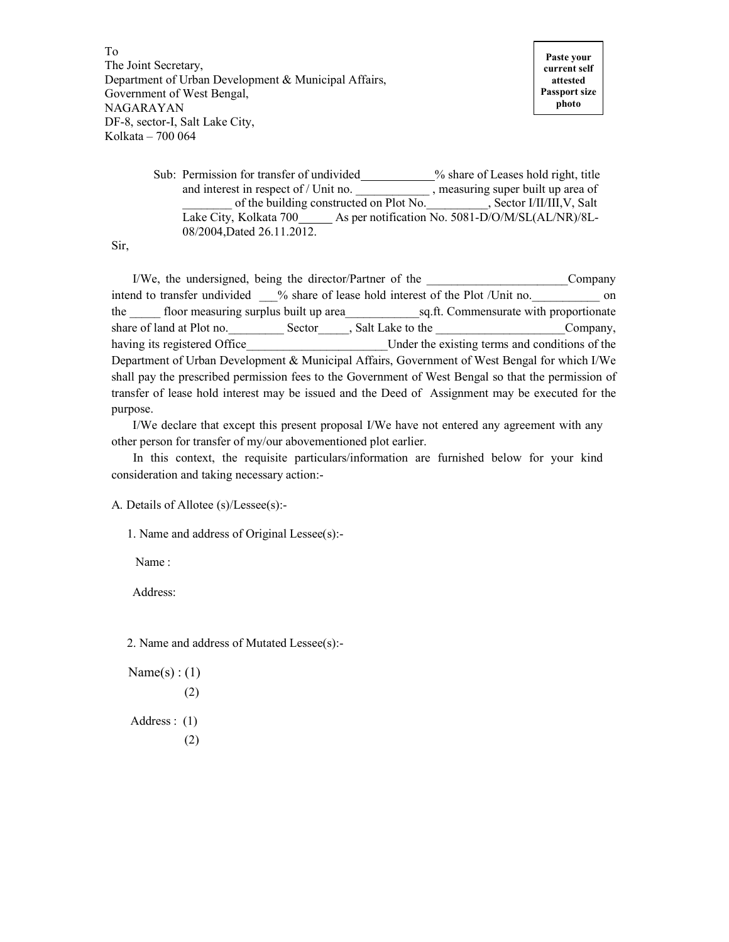To The Joint Secretary, Department of Urban Development & Municipal Affairs, Government of West Bengal, NAGARAYAN DF-8, sector-I, Salt Lake City, Kolkata – 700 064

Sub: Permission for transfer of undivided \_\_\_\_\_\_\_\_\_% share of Leases hold right, title and interest in respect of / Unit no.  $\qquad \qquad$ , measuring super built up area of of the building constructed on Plot No. , Sector I/II/III, V, Salt Lake City, Kolkata 700\_\_\_\_\_ As per notification No. 5081-D/O/M/SL(AL/NR)/8L-08/2004,Dated 26.11.2012.

Sir,

I/We, the undersigned, being the director/Partner of the Company intend to transfer undivided \_\_\_% share of lease hold interest of the Plot /Unit no. on the floor measuring surplus built up area sq.ft. Commensurate with proportionate share of land at Plot no. Sector 5. Salt Lake to the Company, having its registered Office Theorem 2011 Under the existing terms and conditions of the Department of Urban Development & Municipal Affairs, Government of West Bengal for which I/We shall pay the prescribed permission fees to the Government of West Bengal so that the permission of transfer of lease hold interest may be issued and the Deed of Assignment may be executed for the purpose.

 I/We declare that except this present proposal I/We have not entered any agreement with any other person for transfer of my/our abovementioned plot earlier.

 In this context, the requisite particulars/information are furnished below for your kind consideration and taking necessary action:-

A. Details of Allotee (s)/Lessee(s):-

1. Name and address of Original Lessee(s):-

Name :

Address:

2. Name and address of Mutated Lessee(s):-

$$
Name(s) : (1)
$$
  
(2)  
Address : (1)  
(2)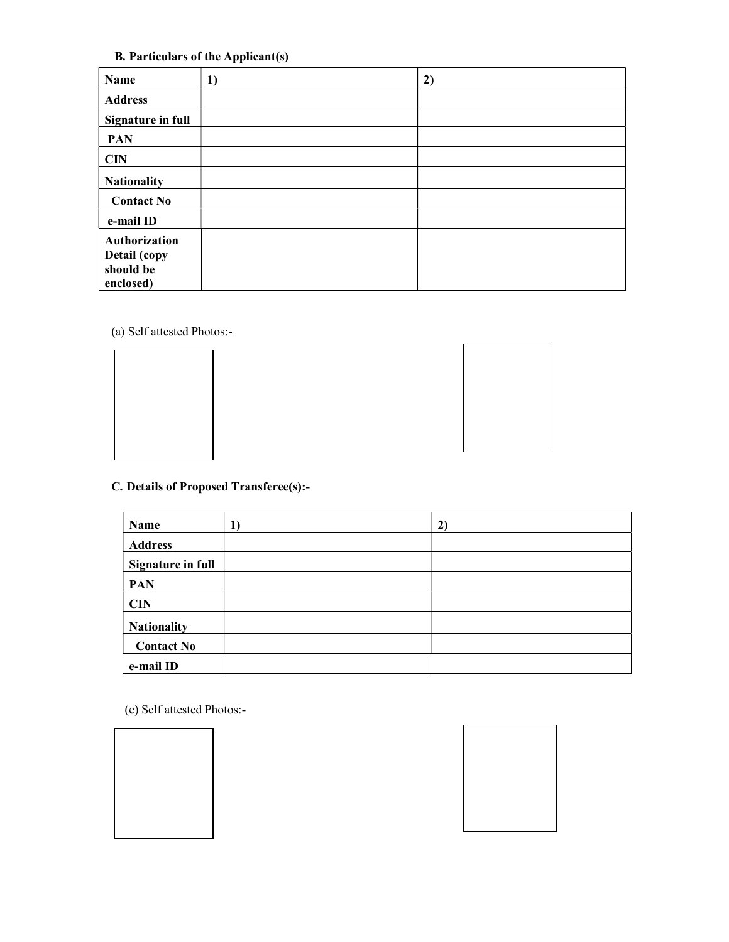B. Particulars of the Applicant(s)

| Name                                                    | 1) | 2) |
|---------------------------------------------------------|----|----|
| <b>Address</b>                                          |    |    |
| <b>Signature in full</b>                                |    |    |
| <b>PAN</b>                                              |    |    |
| <b>CIN</b>                                              |    |    |
| <b>Nationality</b>                                      |    |    |
| <b>Contact No</b>                                       |    |    |
| e-mail ID                                               |    |    |
| Authorization<br>Detail (copy<br>should be<br>enclosed) |    |    |

(a) Self attested Photos:-





## C. Details of Proposed Transferee(s):-

| Name                     | $\bf{l}$ | $\mathbf{2}$ |
|--------------------------|----------|--------------|
| <b>Address</b>           |          |              |
| <b>Signature in full</b> |          |              |
| <b>PAN</b>               |          |              |
| <b>CIN</b>               |          |              |
| <b>Nationality</b>       |          |              |
| <b>Contact No</b>        |          |              |
| e-mail ID                |          |              |

(e) Self attested Photos:-



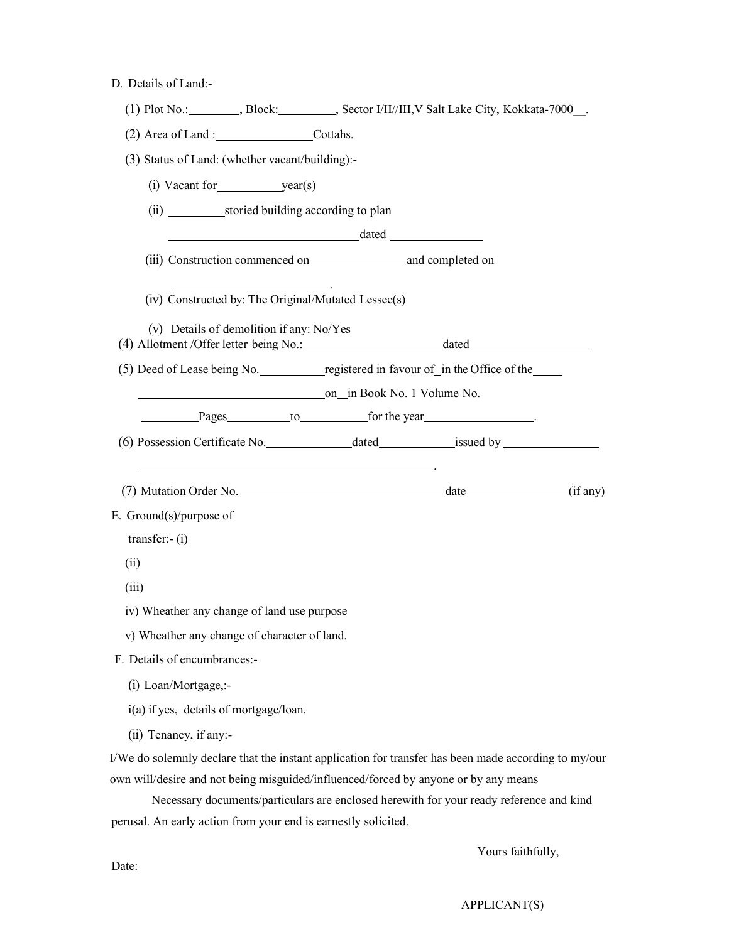|  | D. Details of Land:- |  |  |
|--|----------------------|--|--|
|--|----------------------|--|--|

|                                        |                                                                                                            |  | (1) Plot No.: ________, Block: ________, Sector I/II//III, V Salt Lake City, Kokkata-7000__.         |  |  |
|----------------------------------------|------------------------------------------------------------------------------------------------------------|--|------------------------------------------------------------------------------------------------------|--|--|
|                                        | (2) Area of Land : Cottahs.                                                                                |  |                                                                                                      |  |  |
|                                        | (3) Status of Land: (whether vacant/building):-                                                            |  |                                                                                                      |  |  |
|                                        |                                                                                                            |  |                                                                                                      |  |  |
|                                        |                                                                                                            |  |                                                                                                      |  |  |
|                                        | $\qquad \qquad \text{dated}$                                                                               |  |                                                                                                      |  |  |
|                                        |                                                                                                            |  |                                                                                                      |  |  |
|                                        | <u> 1989 - Johann Stone, amerikansk politiker (</u><br>(iv) Constructed by: The Original/Mutated Lessee(s) |  |                                                                                                      |  |  |
|                                        | (v) Details of demolition if any: No/Yes                                                                   |  |                                                                                                      |  |  |
|                                        |                                                                                                            |  | (5) Deed of Lease being No. registered in favour of in the Office of the                             |  |  |
|                                        | on in Book No. 1 Volume No.                                                                                |  |                                                                                                      |  |  |
|                                        |                                                                                                            |  | Pages to for the year                                                                                |  |  |
|                                        |                                                                                                            |  |                                                                                                      |  |  |
|                                        |                                                                                                            |  |                                                                                                      |  |  |
|                                        |                                                                                                            |  |                                                                                                      |  |  |
| E. Ground $(s)/$ purpose of            |                                                                                                            |  |                                                                                                      |  |  |
| $transfer:-(i)$                        |                                                                                                            |  |                                                                                                      |  |  |
| (ii)                                   |                                                                                                            |  |                                                                                                      |  |  |
| (iii)                                  |                                                                                                            |  |                                                                                                      |  |  |
|                                        | iv) Wheather any change of land use purpose                                                                |  |                                                                                                      |  |  |
|                                        | v) Wheather any change of character of land.                                                               |  |                                                                                                      |  |  |
| F. Details of encumbrances:-           |                                                                                                            |  |                                                                                                      |  |  |
| (i) Loan/Mortgage,:-                   |                                                                                                            |  |                                                                                                      |  |  |
| i(a) if yes, details of mortgage/loan. |                                                                                                            |  |                                                                                                      |  |  |
| (ii) Tenancy, if any:-                 |                                                                                                            |  |                                                                                                      |  |  |
|                                        |                                                                                                            |  | I/We do solemnly declare that the instant application for transfer has been made according to my/our |  |  |
|                                        |                                                                                                            |  | own will/desire and not being misguided/influenced/forced by anyone or by any means                  |  |  |
|                                        |                                                                                                            |  | Necessary documents/particulars are enclosed herewith for your ready reference and kind              |  |  |
|                                        | perusal. An early action from your end is earnestly solicited.                                             |  |                                                                                                      |  |  |

Yours faithfully,

Date: